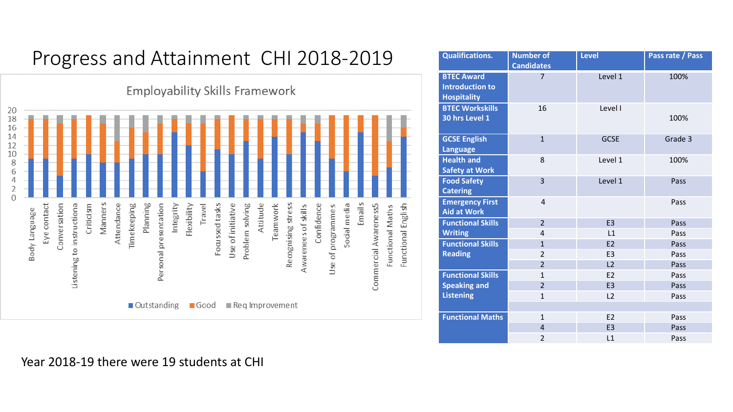## Progress and Attainment CHI 2018-2019

**Employability Skills Framework** 20 18 16 14 12 10 8 6 4  $\overline{2}$  $\Omega$ Emails Critici sm s Travel Recognising stress Planning Focussed tasks Attitude Eye contact Conversation Listening to instructiona Attendance Timekeeping Personal presentation Integrity Flexibility Use of initiative Problem solving Teamwork Awarenees of skills Confidence  $\mathcal{L}$ Social media Commercial Awareness5 Functional Maths Functional English Manner Body Language Use of programme Outstanding ■ Good ■ Reg Improvement

| <b>Qualifications.</b>                                            | <b>Number of</b><br><b>Candidates</b> | <b>Level</b>   | Pass rate / Pass |
|-------------------------------------------------------------------|---------------------------------------|----------------|------------------|
| <b>BTEC Award</b><br><b>Introduction to</b><br><b>Hospitality</b> | $\overline{7}$                        | Level 1        | 100%             |
| <b>BTEC Workskills</b><br>30 hrs Level 1                          | 16                                    | Level I        | 100%             |
| <b>GCSE English</b><br><b>Language</b>                            | $\mathbf{1}$                          | <b>GCSE</b>    | Grade 3          |
| <b>Health and</b><br><b>Safety at Work</b>                        | 8                                     | Level 1        | 100%             |
| <b>Food Safety</b><br><b>Catering</b>                             | $\overline{3}$                        | Level 1        | Pass             |
| <b>Emergency First</b><br><b>Aid at Work</b>                      | $\overline{4}$                        |                | Pass             |
| <b>Functional Skills</b>                                          | $\overline{2}$                        | E <sub>3</sub> | Pass             |
| <b>Writing</b>                                                    | $\overline{4}$                        | L1             | Pass             |
| <b>Functional Skills</b>                                          | $\mathbf{1}$                          | E2             | Pass             |
| <b>Reading</b>                                                    | $\overline{2}$                        | E <sub>3</sub> | Pass             |
|                                                                   | $\overline{2}$                        | L2             | Pass             |
| <b>Functional Skills</b>                                          | $\mathbf{1}$                          | E <sub>2</sub> | Pass             |
| <b>Speaking and</b>                                               | $\overline{2}$                        | E <sub>3</sub> | Pass             |
| <b>Listening</b>                                                  | $\mathbf{1}$                          | L <sub>2</sub> | Pass             |
|                                                                   |                                       |                |                  |
| <b>Functional Maths</b>                                           | $\mathbf{1}$                          | E2             | Pass             |
|                                                                   | $\overline{4}$                        | E <sub>3</sub> | Pass             |
|                                                                   | $\overline{2}$                        | L1             | Pass             |

Year 2018-19 there were 19 students at CHI